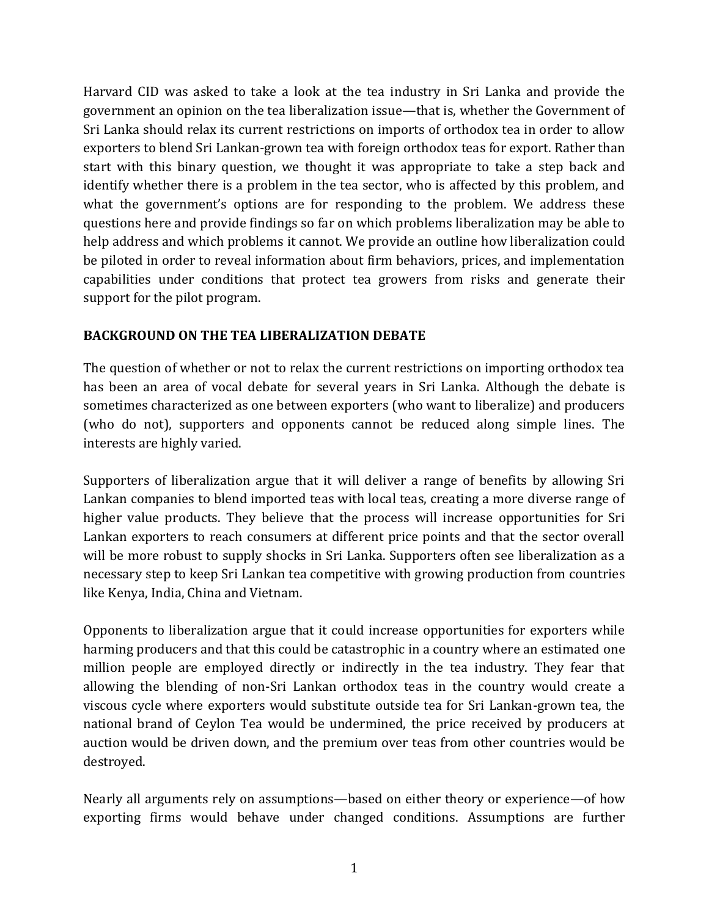Harvard CID was asked to take a look at the tea industry in Sri Lanka and provide the government an opinion on the tea liberalization issue—that is, whether the Government of Sri Lanka should relax its current restrictions on imports of orthodox tea in order to allow exporters to blend Sri Lankan-grown tea with foreign orthodox teas for export. Rather than start with this binary question, we thought it was appropriate to take a step back and identify whether there is a problem in the tea sector, who is affected by this problem, and what the government's options are for responding to the problem. We address these questions here and provide findings so far on which problems liberalization may be able to help address and which problems it cannot. We provide an outline how liberalization could be piloted in order to reveal information about firm behaviors, prices, and implementation capabilities under conditions that protect tea growers from risks and generate their support for the pilot program.

### **BACKGROUND ON THE TEA LIBERALIZATION DEBATE**

The question of whether or not to relax the current restrictions on importing orthodox tea has been an area of vocal debate for several years in Sri Lanka. Although the debate is sometimes characterized as one between exporters (who want to liberalize) and producers (who do not), supporters and opponents cannot be reduced along simple lines. The interests are highly varied.

Supporters of liberalization argue that it will deliver a range of benefits by allowing Sri Lankan companies to blend imported teas with local teas, creating a more diverse range of higher value products. They believe that the process will increase opportunities for Sri Lankan exporters to reach consumers at different price points and that the sector overall will be more robust to supply shocks in Sri Lanka. Supporters often see liberalization as a necessary step to keep Sri Lankan tea competitive with growing production from countries like Kenya, India, China and Vietnam.

Opponents to liberalization argue that it could increase opportunities for exporters while harming producers and that this could be catastrophic in a country where an estimated one million people are employed directly or indirectly in the tea industry. They fear that allowing the blending of non-Sri Lankan orthodox teas in the country would create a viscous cycle where exporters would substitute outside tea for Sri Lankan-grown tea, the national brand of Ceylon Tea would be undermined, the price received by producers at auction would be driven down, and the premium over teas from other countries would be destroyed.

Nearly all arguments rely on assumptions—based on either theory or experience—of how exporting firms would behave under changed conditions. Assumptions are further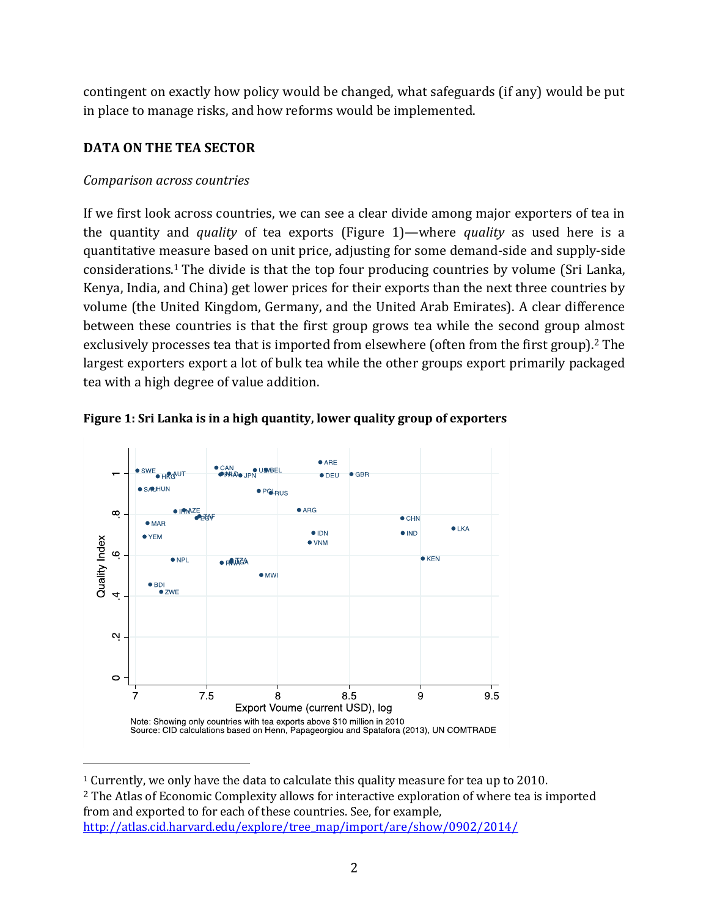contingent on exactly how policy would be changed, what safeguards (if any) would be put in place to manage risks, and how reforms would be implemented.

# **DATA ON THE TEA SECTOR**

### *Comparison across countries*

If we first look across countries, we can see a clear divide among major exporters of tea in the quantity and *quality* of tea exports (Figure 1)—where *quality* as used here is a quantitative measure based on unit price, adjusting for some demand-side and supply-side considerations.<sup>1</sup> The divide is that the top four producing countries by volume (Sri Lanka, Kenya, India, and China) get lower prices for their exports than the next three countries by volume (the United Kingdom, Germany, and the United Arab Emirates). A clear difference between these countries is that the first group grows tea while the second group almost exclusively processes tea that is imported from elsewhere (often from the first group). <sup>2</sup> The largest exporters export a lot of bulk tea while the other groups export primarily packaged tea with a high degree of value addition.





<sup>1</sup> Currently, we only have the data to calculate this quality measure for tea up to 2010.

<sup>2</sup> The Atlas of Economic Complexity allows for interactive exploration of where tea is imported from and exported to for each of these countries. See, for example, [http://atlas.cid.harvard.edu/explore/tree\\_map/import/are/show/0902/2014/](http://atlas.cid.harvard.edu/explore/tree_map/import/are/show/0902/2014/)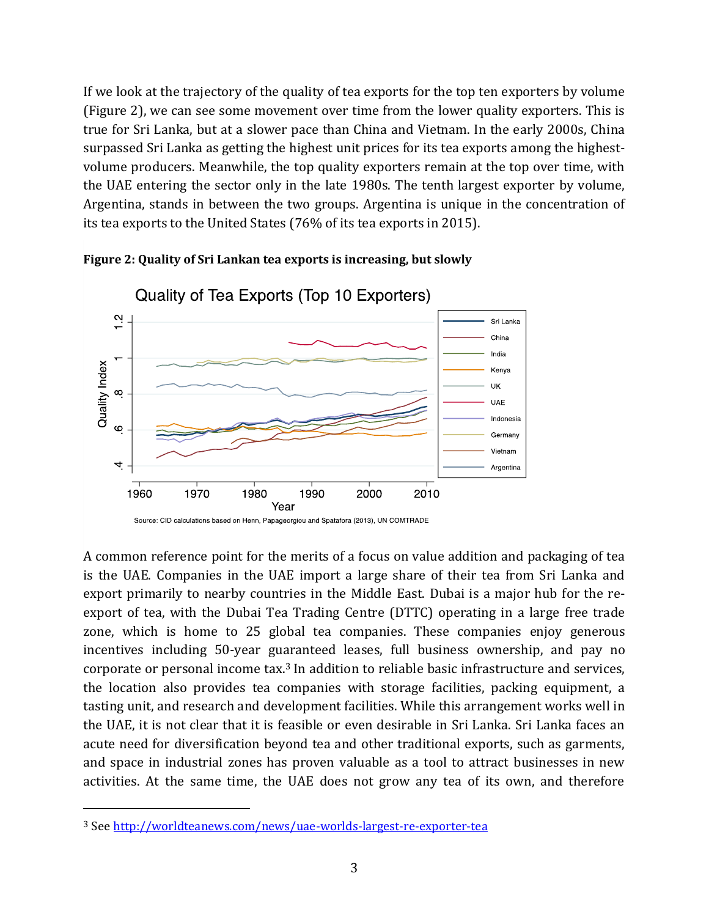If we look at the trajectory of the quality of tea exports for the top ten exporters by volume (Figure 2), we can see some movement over time from the lower quality exporters. This is true for Sri Lanka, but at a slower pace than China and Vietnam. In the early 2000s, China surpassed Sri Lanka as getting the highest unit prices for its tea exports among the highestvolume producers. Meanwhile, the top quality exporters remain at the top over time, with the UAE entering the sector only in the late 1980s. The tenth largest exporter by volume, Argentina, stands in between the two groups. Argentina is unique in the concentration of its tea exports to the United States (76% of its tea exports in 2015).



**Figure 2: Quality of Sri Lankan tea exports is increasing, but slowly**

A common reference point for the merits of a focus on value addition and packaging of tea is the UAE. Companies in the UAE import a large share of their tea from Sri Lanka and export primarily to nearby countries in the Middle East. Dubai is a major hub for the reexport of tea, with the Dubai Tea Trading Centre (DTTC) operating in a large free trade zone, which is home to 25 global tea companies. These companies enjoy generous incentives including 50-year guaranteed leases, full business ownership, and pay no corporate or personal income tax. <sup>3</sup> In addition to reliable basic infrastructure and services, the location also provides tea companies with storage facilities, packing equipment, a tasting unit, and research and development facilities. While this arrangement works well in the UAE, it is not clear that it is feasible or even desirable in Sri Lanka. Sri Lanka faces an acute need for diversification beyond tea and other traditional exports, such as garments, and space in industrial zones has proven valuable as a tool to attract businesses in new activities. At the same time, the UAE does not grow any tea of its own, and therefore

 $\overline{\phantom{a}}$ 

<sup>3</sup> See <http://worldteanews.com/news/uae-worlds-largest-re-exporter-tea>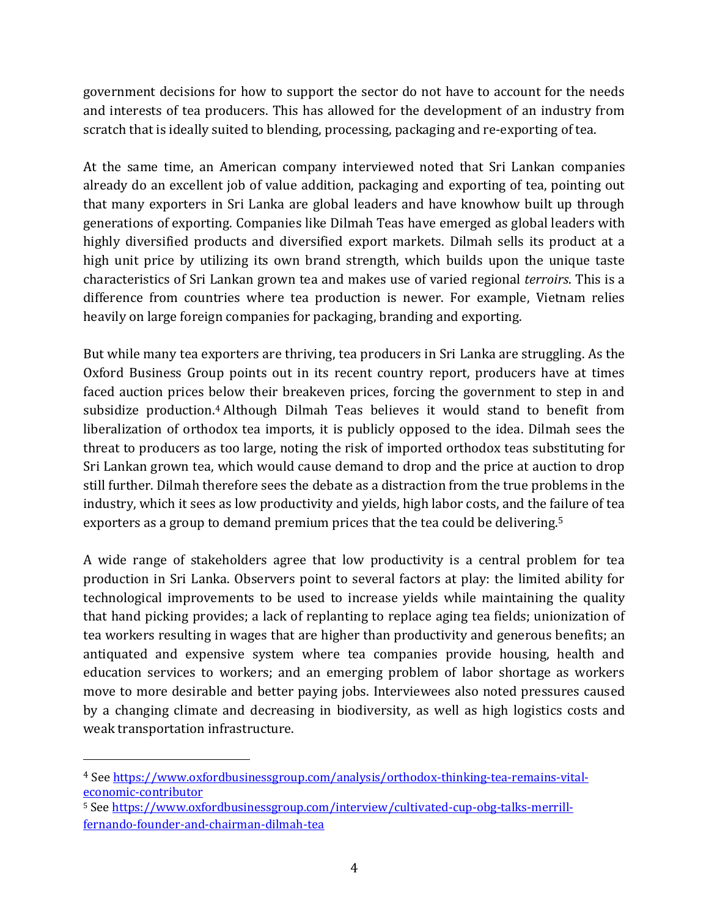government decisions for how to support the sector do not have to account for the needs and interests of tea producers. This has allowed for the development of an industry from scratch that is ideally suited to blending, processing, packaging and re-exporting of tea.

At the same time, an American company interviewed noted that Sri Lankan companies already do an excellent job of value addition, packaging and exporting of tea, pointing out that many exporters in Sri Lanka are global leaders and have knowhow built up through generations of exporting. Companies like Dilmah Teas have emerged as global leaders with highly diversified products and diversified export markets. Dilmah sells its product at a high unit price by utilizing its own brand strength, which builds upon the unique taste characteristics of Sri Lankan grown tea and makes use of varied regional *terroirs*. This is a difference from countries where tea production is newer. For example, Vietnam relies heavily on large foreign companies for packaging, branding and exporting.

But while many tea exporters are thriving, tea producers in Sri Lanka are struggling. As the Oxford Business Group points out in its recent country report, producers have at times faced auction prices below their breakeven prices, forcing the government to step in and subsidize production.<sup>4</sup> Although Dilmah Teas believes it would stand to benefit from liberalization of orthodox tea imports, it is publicly opposed to the idea. Dilmah sees the threat to producers as too large, noting the risk of imported orthodox teas substituting for Sri Lankan grown tea, which would cause demand to drop and the price at auction to drop still further. Dilmah therefore sees the debate as a distraction from the true problems in the industry, which it sees as low productivity and yields, high labor costs, and the failure of tea exporters as a group to demand premium prices that the tea could be delivering.<sup>5</sup>

A wide range of stakeholders agree that low productivity is a central problem for tea production in Sri Lanka. Observers point to several factors at play: the limited ability for technological improvements to be used to increase yields while maintaining the quality that hand picking provides; a lack of replanting to replace aging tea fields; unionization of tea workers resulting in wages that are higher than productivity and generous benefits; an antiquated and expensive system where tea companies provide housing, health and education services to workers; and an emerging problem of labor shortage as workers move to more desirable and better paying jobs. Interviewees also noted pressures caused by a changing climate and decreasing in biodiversity, as well as high logistics costs and weak transportation infrastructure.

 $\overline{\phantom{a}}$ 

<sup>4</sup> Se[e https://www.oxfordbusinessgroup.com/analysis/orthodox-thinking-tea-remains-vital](https://www.oxfordbusinessgroup.com/analysis/orthodox-thinking-tea-remains-vital-economic-contributor)[economic-contributor](https://www.oxfordbusinessgroup.com/analysis/orthodox-thinking-tea-remains-vital-economic-contributor)

<sup>5</sup> See [https://www.oxfordbusinessgroup.com/interview/cultivated-cup-obg-talks-merrill](https://www.oxfordbusinessgroup.com/interview/cultivated-cup-obg-talks-merrill-fernando-founder-and-chairman-dilmah-tea)[fernando-founder-and-chairman-dilmah-tea](https://www.oxfordbusinessgroup.com/interview/cultivated-cup-obg-talks-merrill-fernando-founder-and-chairman-dilmah-tea)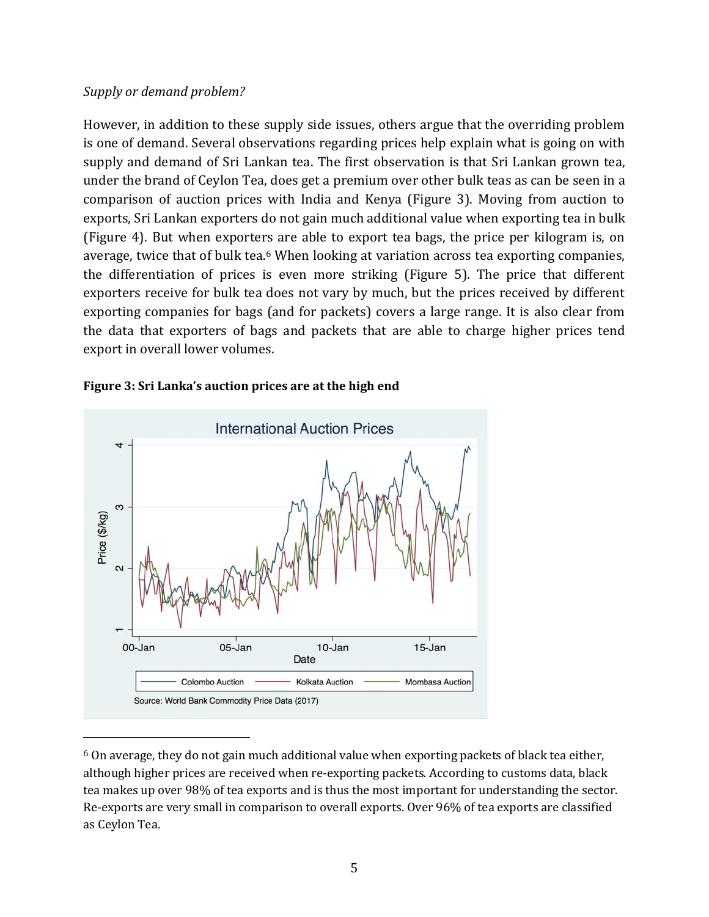#### *Supply or demand problem?*

 $\overline{\phantom{a}}$ 

However, in addition to these supply side issues, others argue that the overriding problem is one of demand. Several observations regarding prices help explain what is going on with supply and demand of Sri Lankan tea. The first observation is that Sri Lankan grown tea, under the brand of Ceylon Tea, does get a premium over other bulk teas as can be seen in a comparison of auction prices with India and Kenya (Figure 3). Moving from auction to exports, Sri Lankan exporters do not gain much additional value when exporting tea in bulk (Figure 4). But when exporters are able to export tea bags, the price per kilogram is, on average, twice that of bulk tea.<sup>6</sup> When looking at variation across tea exporting companies, the differentiation of prices is even more striking (Figure 5). The price that different exporters receive for bulk tea does not vary by much, but the prices received by different exporting companies for bags (and for packets) covers a large range. It is also clear from the data that exporters of bags and packets that are able to charge higher prices tend export in overall lower volumes.



#### **Figure 3: Sri Lanka's auction prices are at the high end**

 $6$  On average, they do not gain much additional value when exporting packets of black tea either, although higher prices are received when re-exporting packets. According to customs data, black tea makes up over 98% of tea exports and is thus the most important for understanding the sector. Re-exports are very small in comparison to overall exports. Over 96% of tea exports are classified as Ceylon Tea.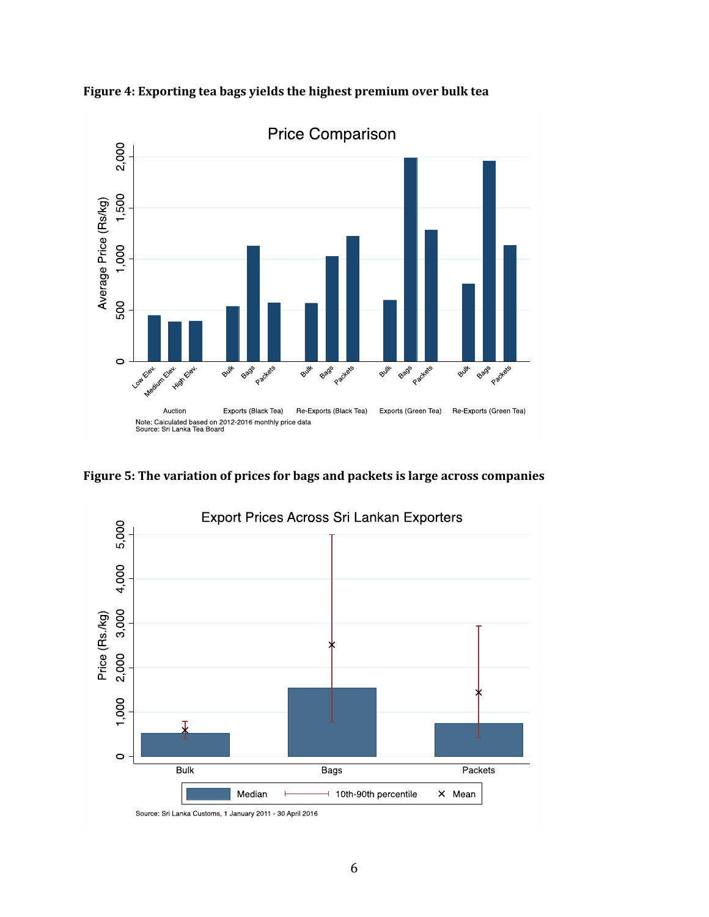



**Figure 5: The variation of prices for bags and packets is large across companies**

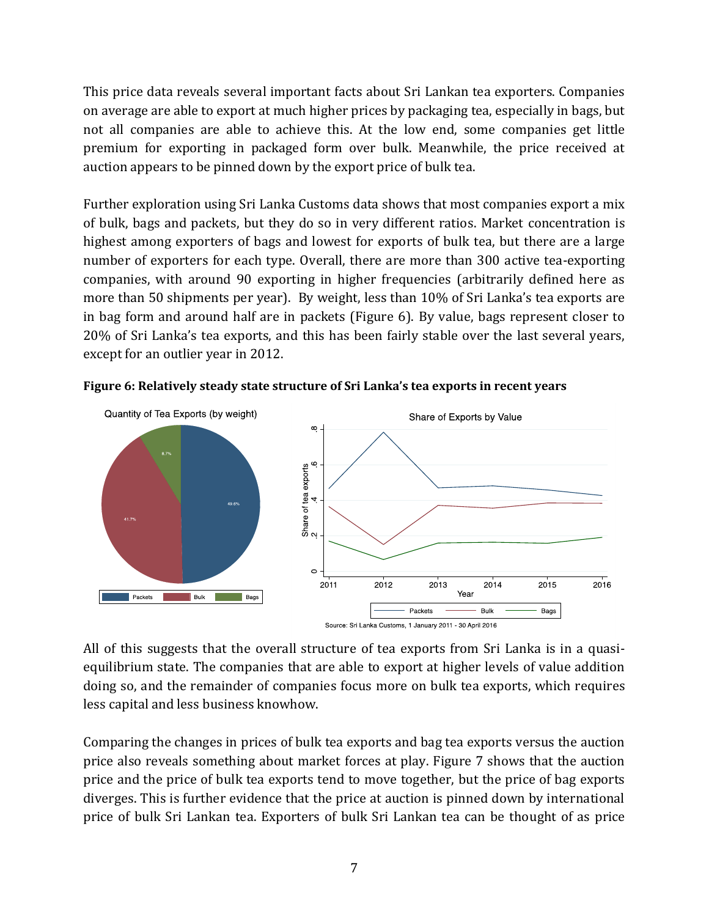This price data reveals several important facts about Sri Lankan tea exporters. Companies on average are able to export at much higher prices by packaging tea, especially in bags, but not all companies are able to achieve this. At the low end, some companies get little premium for exporting in packaged form over bulk. Meanwhile, the price received at auction appears to be pinned down by the export price of bulk tea.

Further exploration using Sri Lanka Customs data shows that most companies export a mix of bulk, bags and packets, but they do so in very different ratios. Market concentration is highest among exporters of bags and lowest for exports of bulk tea, but there are a large number of exporters for each type. Overall, there are more than 300 active tea-exporting companies, with around 90 exporting in higher frequencies (arbitrarily defined here as more than 50 shipments per year). By weight, less than 10% of Sri Lanka's tea exports are in bag form and around half are in packets (Figure 6). By value, bags represent closer to 20% of Sri Lanka's tea exports, and this has been fairly stable over the last several years, except for an outlier year in 2012.



**Figure 6: Relatively steady state structure of Sri Lanka's tea exports in recent years** 

All of this suggests that the overall structure of tea exports from Sri Lanka is in a quasiequilibrium state. The companies that are able to export at higher levels of value addition doing so, and the remainder of companies focus more on bulk tea exports, which requires less capital and less business knowhow.

Comparing the changes in prices of bulk tea exports and bag tea exports versus the auction price also reveals something about market forces at play. Figure 7 shows that the auction price and the price of bulk tea exports tend to move together, but the price of bag exports diverges. This is further evidence that the price at auction is pinned down by international price of bulk Sri Lankan tea. Exporters of bulk Sri Lankan tea can be thought of as price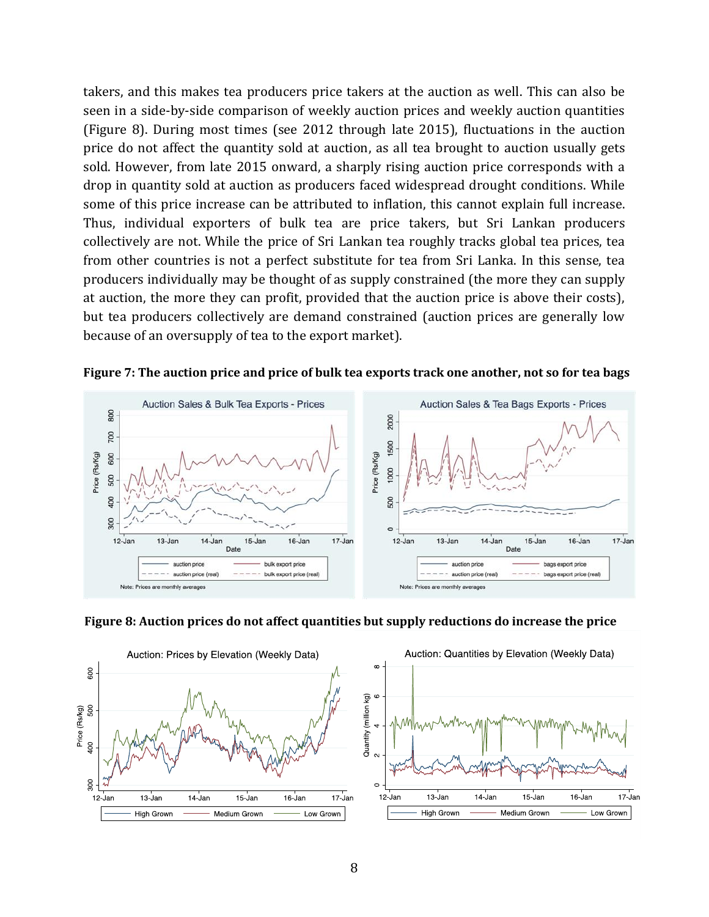takers, and this makes tea producers price takers at the auction as well. This can also be seen in a side-by-side comparison of weekly auction prices and weekly auction quantities (Figure 8). During most times (see 2012 through late 2015), fluctuations in the auction price do not affect the quantity sold at auction, as all tea brought to auction usually gets sold. However, from late 2015 onward, a sharply rising auction price corresponds with a drop in quantity sold at auction as producers faced widespread drought conditions. While some of this price increase can be attributed to inflation, this cannot explain full increase. Thus, individual exporters of bulk tea are price takers, but Sri Lankan producers collectively are not. While the price of Sri Lankan tea roughly tracks global tea prices, tea from other countries is not a perfect substitute for tea from Sri Lanka. In this sense, tea producers individually may be thought of as supply constrained (the more they can supply at auction, the more they can profit, provided that the auction price is above their costs), but tea producers collectively are demand constrained (auction prices are generally low because of an oversupply of tea to the export market).



**Figure 7: The auction price and price of bulk tea exports track one another, not so for tea bags**



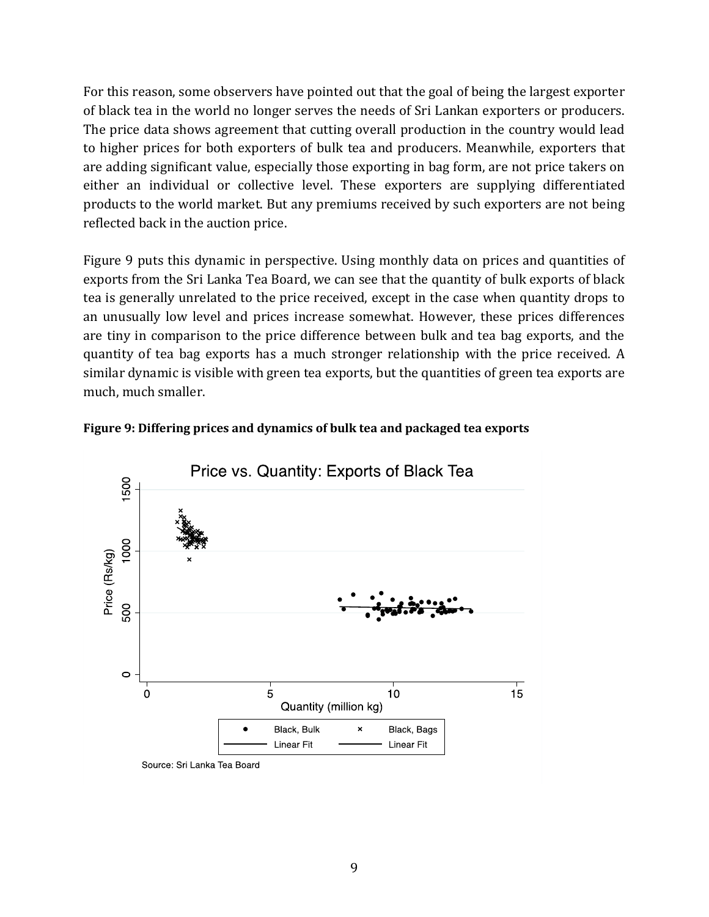For this reason, some observers have pointed out that the goal of being the largest exporter of black tea in the world no longer serves the needs of Sri Lankan exporters or producers. The price data shows agreement that cutting overall production in the country would lead to higher prices for both exporters of bulk tea and producers. Meanwhile, exporters that are adding significant value, especially those exporting in bag form, are not price takers on either an individual or collective level. These exporters are supplying differentiated products to the world market. But any premiums received by such exporters are not being reflected back in the auction price.

Figure 9 puts this dynamic in perspective. Using monthly data on prices and quantities of exports from the Sri Lanka Tea Board, we can see that the quantity of bulk exports of black tea is generally unrelated to the price received, except in the case when quantity drops to an unusually low level and prices increase somewhat. However, these prices differences are tiny in comparison to the price difference between bulk and tea bag exports, and the quantity of tea bag exports has a much stronger relationship with the price received. A similar dynamic is visible with green tea exports, but the quantities of green tea exports are much, much smaller.



Source: Sri Lanka Tea Board

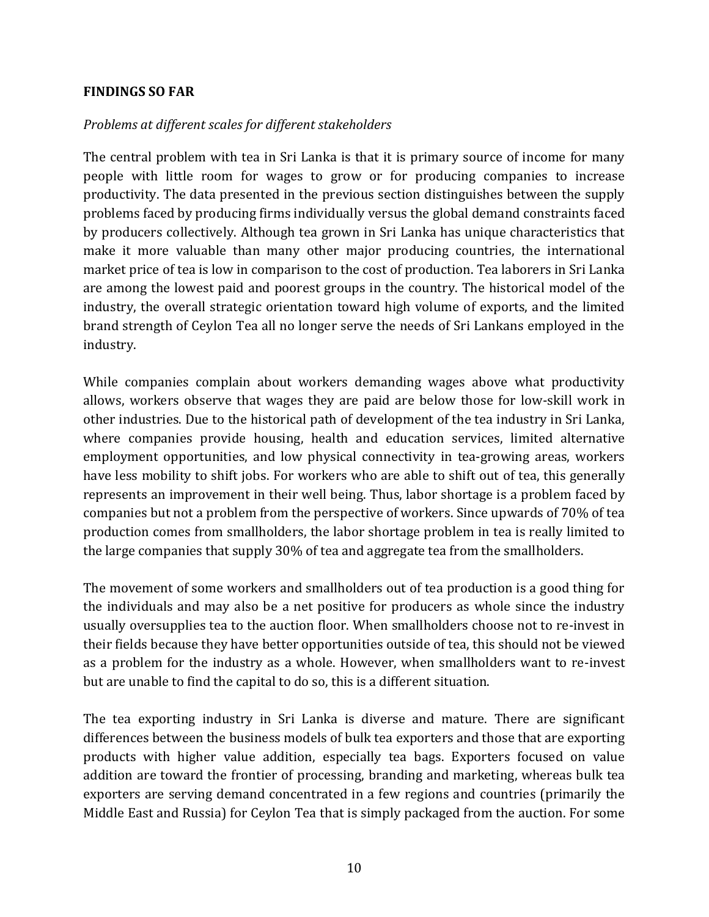#### **FINDINGS SO FAR**

#### *Problems at different scales for different stakeholders*

The central problem with tea in Sri Lanka is that it is primary source of income for many people with little room for wages to grow or for producing companies to increase productivity. The data presented in the previous section distinguishes between the supply problems faced by producing firms individually versus the global demand constraints faced by producers collectively. Although tea grown in Sri Lanka has unique characteristics that make it more valuable than many other major producing countries, the international market price of tea is low in comparison to the cost of production. Tea laborers in Sri Lanka are among the lowest paid and poorest groups in the country. The historical model of the industry, the overall strategic orientation toward high volume of exports, and the limited brand strength of Ceylon Tea all no longer serve the needs of Sri Lankans employed in the industry.

While companies complain about workers demanding wages above what productivity allows, workers observe that wages they are paid are below those for low-skill work in other industries. Due to the historical path of development of the tea industry in Sri Lanka, where companies provide housing, health and education services, limited alternative employment opportunities, and low physical connectivity in tea-growing areas, workers have less mobility to shift jobs. For workers who are able to shift out of tea, this generally represents an improvement in their well being. Thus, labor shortage is a problem faced by companies but not a problem from the perspective of workers. Since upwards of 70% of tea production comes from smallholders, the labor shortage problem in tea is really limited to the large companies that supply 30% of tea and aggregate tea from the smallholders.

The movement of some workers and smallholders out of tea production is a good thing for the individuals and may also be a net positive for producers as whole since the industry usually oversupplies tea to the auction floor. When smallholders choose not to re-invest in their fields because they have better opportunities outside of tea, this should not be viewed as a problem for the industry as a whole. However, when smallholders want to re-invest but are unable to find the capital to do so, this is a different situation.

The tea exporting industry in Sri Lanka is diverse and mature. There are significant differences between the business models of bulk tea exporters and those that are exporting products with higher value addition, especially tea bags. Exporters focused on value addition are toward the frontier of processing, branding and marketing, whereas bulk tea exporters are serving demand concentrated in a few regions and countries (primarily the Middle East and Russia) for Ceylon Tea that is simply packaged from the auction. For some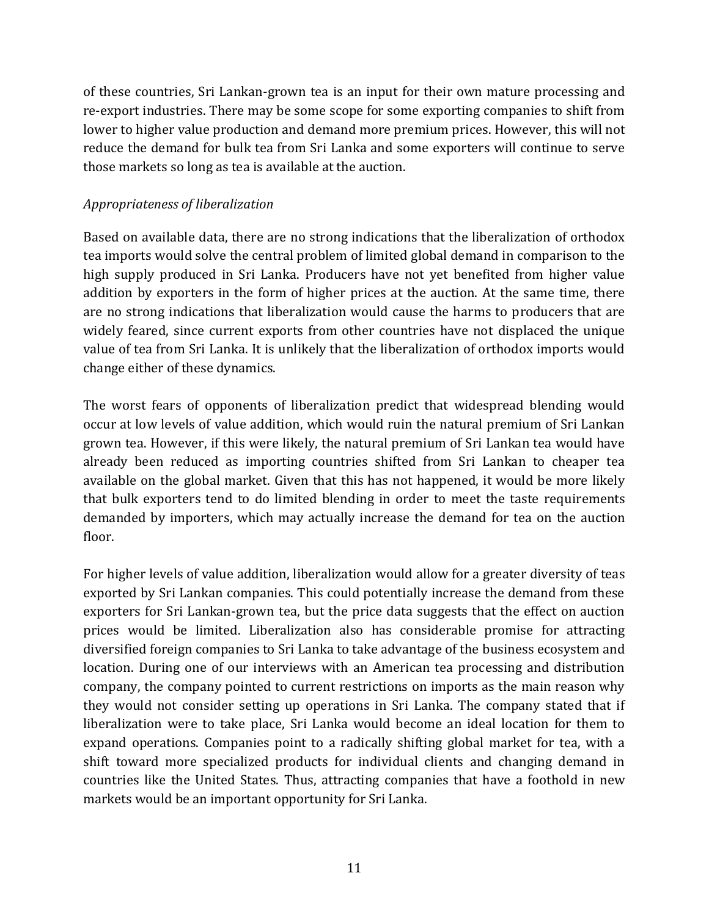of these countries, Sri Lankan-grown tea is an input for their own mature processing and re-export industries. There may be some scope for some exporting companies to shift from lower to higher value production and demand more premium prices. However, this will not reduce the demand for bulk tea from Sri Lanka and some exporters will continue to serve those markets so long as tea is available at the auction.

### *Appropriateness of liberalization*

Based on available data, there are no strong indications that the liberalization of orthodox tea imports would solve the central problem of limited global demand in comparison to the high supply produced in Sri Lanka. Producers have not yet benefited from higher value addition by exporters in the form of higher prices at the auction. At the same time, there are no strong indications that liberalization would cause the harms to producers that are widely feared, since current exports from other countries have not displaced the unique value of tea from Sri Lanka. It is unlikely that the liberalization of orthodox imports would change either of these dynamics.

The worst fears of opponents of liberalization predict that widespread blending would occur at low levels of value addition, which would ruin the natural premium of Sri Lankan grown tea. However, if this were likely, the natural premium of Sri Lankan tea would have already been reduced as importing countries shifted from Sri Lankan to cheaper tea available on the global market. Given that this has not happened, it would be more likely that bulk exporters tend to do limited blending in order to meet the taste requirements demanded by importers, which may actually increase the demand for tea on the auction floor.

For higher levels of value addition, liberalization would allow for a greater diversity of teas exported by Sri Lankan companies. This could potentially increase the demand from these exporters for Sri Lankan-grown tea, but the price data suggests that the effect on auction prices would be limited. Liberalization also has considerable promise for attracting diversified foreign companies to Sri Lanka to take advantage of the business ecosystem and location. During one of our interviews with an American tea processing and distribution company, the company pointed to current restrictions on imports as the main reason why they would not consider setting up operations in Sri Lanka. The company stated that if liberalization were to take place, Sri Lanka would become an ideal location for them to expand operations. Companies point to a radically shifting global market for tea, with a shift toward more specialized products for individual clients and changing demand in countries like the United States. Thus, attracting companies that have a foothold in new markets would be an important opportunity for Sri Lanka.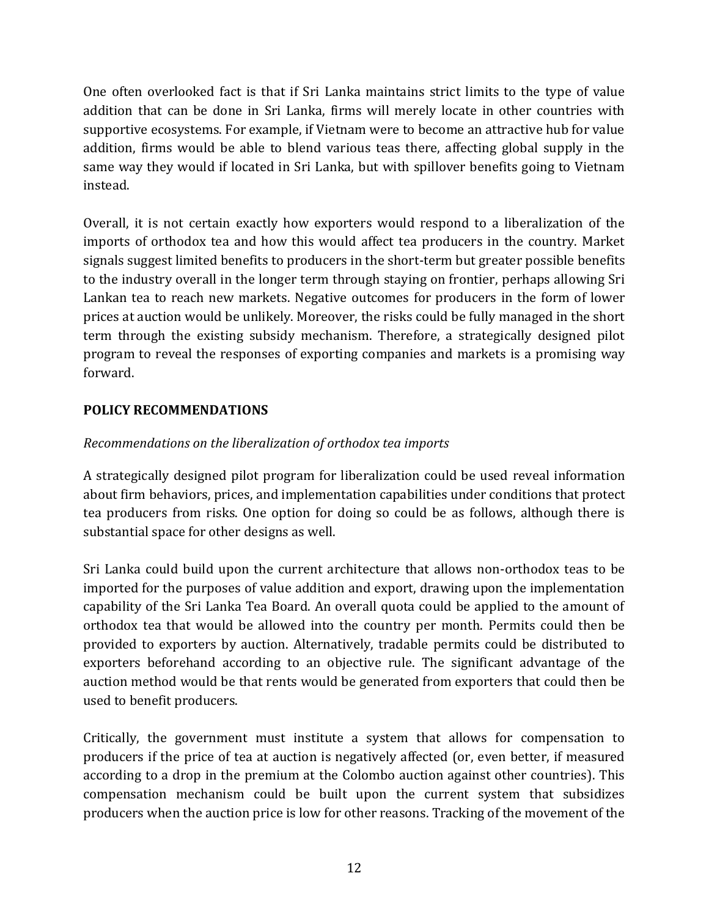One often overlooked fact is that if Sri Lanka maintains strict limits to the type of value addition that can be done in Sri Lanka, firms will merely locate in other countries with supportive ecosystems. For example, if Vietnam were to become an attractive hub for value addition, firms would be able to blend various teas there, affecting global supply in the same way they would if located in Sri Lanka, but with spillover benefits going to Vietnam instead.

Overall, it is not certain exactly how exporters would respond to a liberalization of the imports of orthodox tea and how this would affect tea producers in the country. Market signals suggest limited benefits to producers in the short-term but greater possible benefits to the industry overall in the longer term through staying on frontier, perhaps allowing Sri Lankan tea to reach new markets. Negative outcomes for producers in the form of lower prices at auction would be unlikely. Moreover, the risks could be fully managed in the short term through the existing subsidy mechanism. Therefore, a strategically designed pilot program to reveal the responses of exporting companies and markets is a promising way forward.

# **POLICY RECOMMENDATIONS**

# *Recommendations on the liberalization of orthodox tea imports*

A strategically designed pilot program for liberalization could be used reveal information about firm behaviors, prices, and implementation capabilities under conditions that protect tea producers from risks. One option for doing so could be as follows, although there is substantial space for other designs as well.

Sri Lanka could build upon the current architecture that allows non-orthodox teas to be imported for the purposes of value addition and export, drawing upon the implementation capability of the Sri Lanka Tea Board. An overall quota could be applied to the amount of orthodox tea that would be allowed into the country per month. Permits could then be provided to exporters by auction. Alternatively, tradable permits could be distributed to exporters beforehand according to an objective rule. The significant advantage of the auction method would be that rents would be generated from exporters that could then be used to benefit producers.

Critically, the government must institute a system that allows for compensation to producers if the price of tea at auction is negatively affected (or, even better, if measured according to a drop in the premium at the Colombo auction against other countries). This compensation mechanism could be built upon the current system that subsidizes producers when the auction price is low for other reasons. Tracking of the movement of the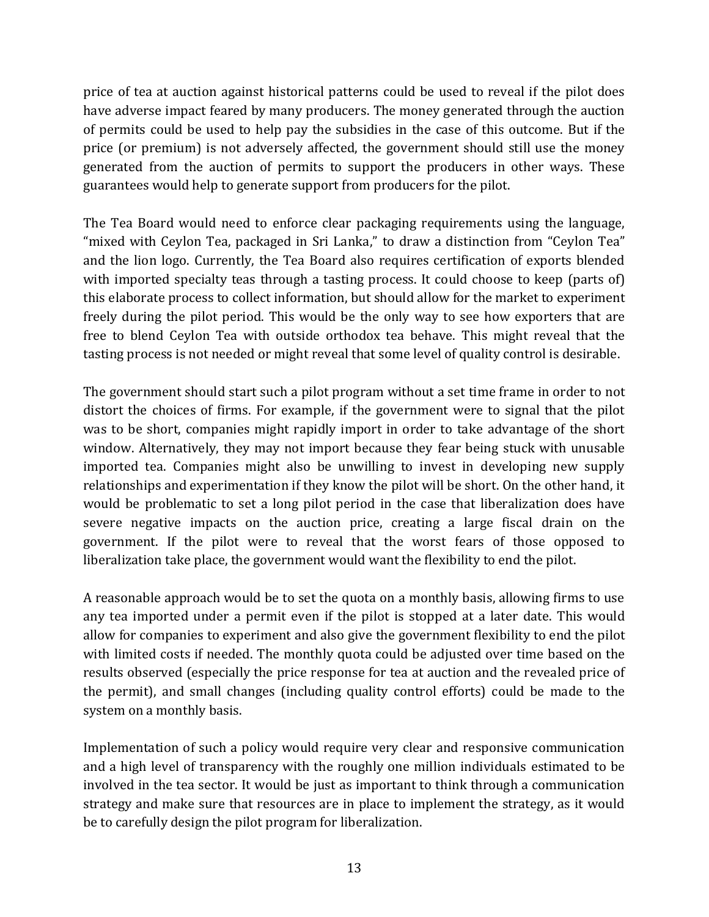price of tea at auction against historical patterns could be used to reveal if the pilot does have adverse impact feared by many producers. The money generated through the auction of permits could be used to help pay the subsidies in the case of this outcome. But if the price (or premium) is not adversely affected, the government should still use the money generated from the auction of permits to support the producers in other ways. These guarantees would help to generate support from producers for the pilot.

The Tea Board would need to enforce clear packaging requirements using the language, "mixed with Ceylon Tea, packaged in Sri Lanka," to draw a distinction from "Ceylon Tea" and the lion logo. Currently, the Tea Board also requires certification of exports blended with imported specialty teas through a tasting process. It could choose to keep (parts of) this elaborate process to collect information, but should allow for the market to experiment freely during the pilot period. This would be the only way to see how exporters that are free to blend Ceylon Tea with outside orthodox tea behave. This might reveal that the tasting process is not needed or might reveal that some level of quality control is desirable.

The government should start such a pilot program without a set time frame in order to not distort the choices of firms. For example, if the government were to signal that the pilot was to be short, companies might rapidly import in order to take advantage of the short window. Alternatively, they may not import because they fear being stuck with unusable imported tea. Companies might also be unwilling to invest in developing new supply relationships and experimentation if they know the pilot will be short. On the other hand, it would be problematic to set a long pilot period in the case that liberalization does have severe negative impacts on the auction price, creating a large fiscal drain on the government. If the pilot were to reveal that the worst fears of those opposed to liberalization take place, the government would want the flexibility to end the pilot.

A reasonable approach would be to set the quota on a monthly basis, allowing firms to use any tea imported under a permit even if the pilot is stopped at a later date. This would allow for companies to experiment and also give the government flexibility to end the pilot with limited costs if needed. The monthly quota could be adjusted over time based on the results observed (especially the price response for tea at auction and the revealed price of the permit), and small changes (including quality control efforts) could be made to the system on a monthly basis.

Implementation of such a policy would require very clear and responsive communication and a high level of transparency with the roughly one million individuals estimated to be involved in the tea sector. It would be just as important to think through a communication strategy and make sure that resources are in place to implement the strategy, as it would be to carefully design the pilot program for liberalization.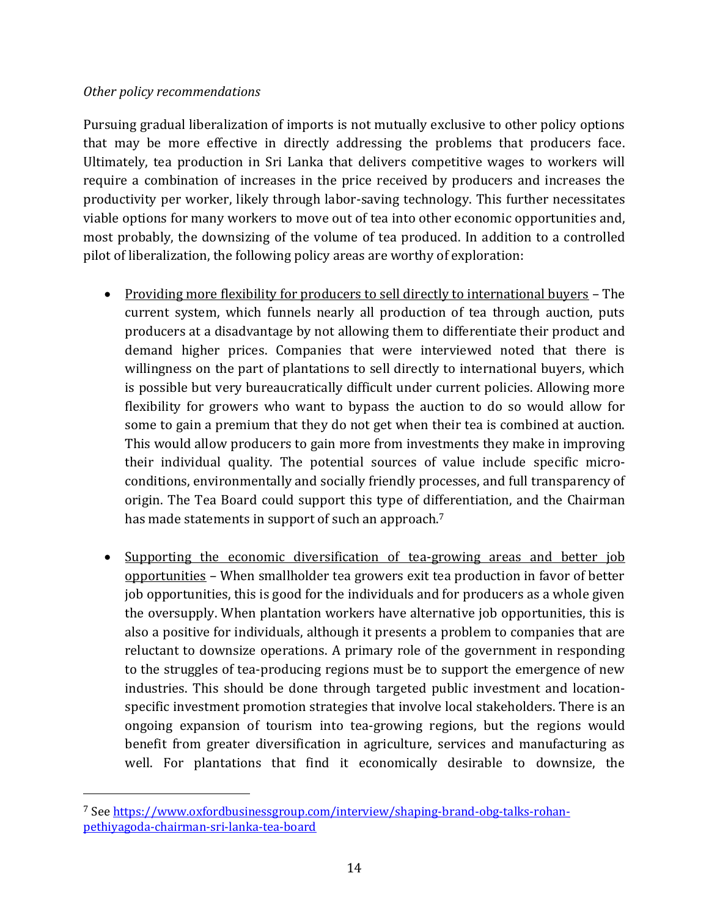### *Other policy recommendations*

 $\overline{\phantom{a}}$ 

Pursuing gradual liberalization of imports is not mutually exclusive to other policy options that may be more effective in directly addressing the problems that producers face. Ultimately, tea production in Sri Lanka that delivers competitive wages to workers will require a combination of increases in the price received by producers and increases the productivity per worker, likely through labor-saving technology. This further necessitates viable options for many workers to move out of tea into other economic opportunities and, most probably, the downsizing of the volume of tea produced. In addition to a controlled pilot of liberalization, the following policy areas are worthy of exploration:

- Providing more flexibility for producers to sell directly to international buyers The current system, which funnels nearly all production of tea through auction, puts producers at a disadvantage by not allowing them to differentiate their product and demand higher prices. Companies that were interviewed noted that there is willingness on the part of plantations to sell directly to international buyers, which is possible but very bureaucratically difficult under current policies. Allowing more flexibility for growers who want to bypass the auction to do so would allow for some to gain a premium that they do not get when their tea is combined at auction. This would allow producers to gain more from investments they make in improving their individual quality. The potential sources of value include specific microconditions, environmentally and socially friendly processes, and full transparency of origin. The Tea Board could support this type of differentiation, and the Chairman has made statements in support of such an approach.<sup>7</sup>
- Supporting the economic diversification of tea-growing areas and better job opportunities – When smallholder tea growers exit tea production in favor of better job opportunities, this is good for the individuals and for producers as a whole given the oversupply. When plantation workers have alternative job opportunities, this is also a positive for individuals, although it presents a problem to companies that are reluctant to downsize operations. A primary role of the government in responding to the struggles of tea-producing regions must be to support the emergence of new industries. This should be done through targeted public investment and locationspecific investment promotion strategies that involve local stakeholders. There is an ongoing expansion of tourism into tea-growing regions, but the regions would benefit from greater diversification in agriculture, services and manufacturing as well. For plantations that find it economically desirable to downsize, the

<sup>7</sup> See [https://www.oxfordbusinessgroup.com/interview/shaping-brand-obg-talks-rohan](https://www.oxfordbusinessgroup.com/interview/shaping-brand-obg-talks-rohan-pethiyagoda-chairman-sri-lanka-tea-board)[pethiyagoda-chairman-sri-lanka-tea-board](https://www.oxfordbusinessgroup.com/interview/shaping-brand-obg-talks-rohan-pethiyagoda-chairman-sri-lanka-tea-board)